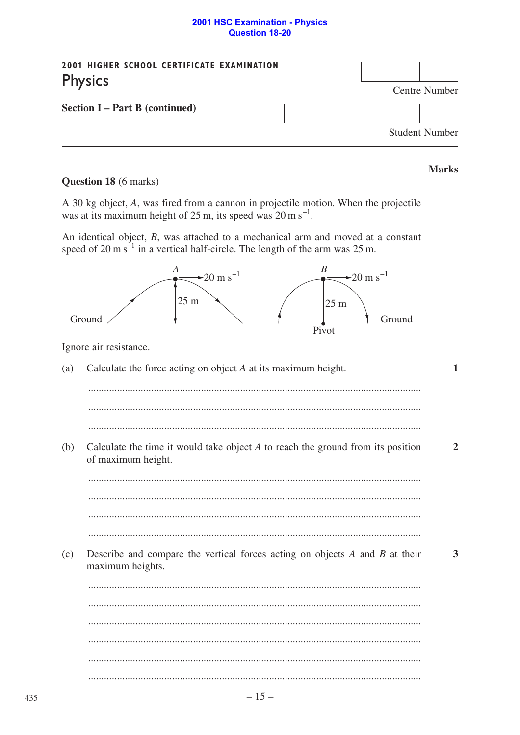## **2001 HSC Examination - Physics Question 18-20**

| 2001 HIGHER SCHOOL CERTIFICATE EXAMINATION<br><b>Physics</b> |               |  |  |  |  |  |  |  |                       |  |
|--------------------------------------------------------------|---------------|--|--|--|--|--|--|--|-----------------------|--|
|                                                              | Centre Number |  |  |  |  |  |  |  |                       |  |
| <b>Section I – Part B (continued)</b>                        |               |  |  |  |  |  |  |  |                       |  |
|                                                              |               |  |  |  |  |  |  |  | <b>Student Number</b> |  |

**Marks** 

# Question 18 (6 marks)

A 30 kg object, A, was fired from a cannon in projectile motion. When the projectile was at its maximum height of 25 m, its speed was  $20 \text{ m s}^{-1}$ .

An identical object,  $B$ , was attached to a mechanical arm and moved at a constant speed of 20 m s<sup>-1</sup> in a vertical half-circle. The length of the arm was 25 m.